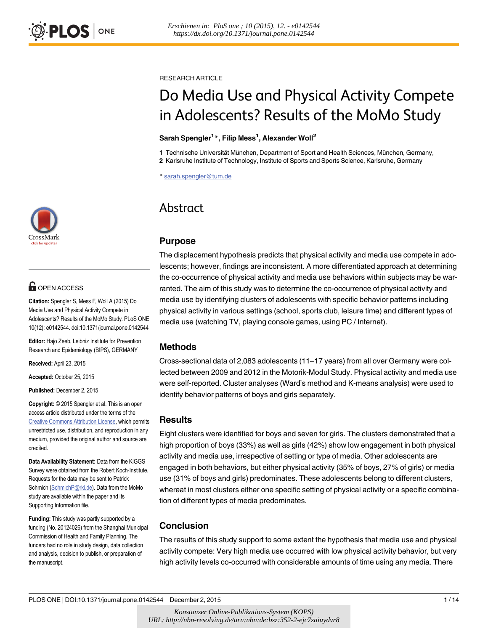a11111

# **G** OPEN ACCESS

Citation: Spengler S, Mess F, Woll A (2015) Do Media Use and Physical Activity Compete in Adolescents? Results of the MoMo Study. PLoS ONE 10(12): e0142544. doi:10.1371/journal.pone.0142544

Editor: Hajo Zeeb, Leibniz Institute for Prevention Research and Epidemiology (BIPS), GERMANY

Received: April 23, 2015

Accepted: October 25, 2015

Published: December 2, 2015

Copyright: © 2015 Spengler et al. This is an open access article distributed under the terms of the [Creative Commons Attribution License,](http://creativecommons.org/licenses/by/4.0/) which permits unrestricted use, distribution, and reproduction in any medium, provided the original author and source are credited.

Data Availability Statement: Data from the KiGGS Survey were obtained from the Robert Koch-Institute. Requests for the data may be sent to Patrick Schmich (SchmichP@rki.de). Data from the MoMo study are available within the paper and its Supporting Information file.

Funding: This study was partly supported by a funding (No. 20124026) from the Shanghai Municipal Commission of Health and Family Planning. The funders had no role in study design, data collection and analysis, decision to publish, or preparation of the manuscript.

RESEARCH ARTICLE

# Do Media Use and Physical Activity Compete in Adolescents? Results of the MoMo Study

#### Sarah Spengler<sup>1</sup>\*, Filip Mess<sup>1</sup>, Alexander Woll<sup>2</sup>

1 Technische Universität München, Department of Sport and Health Sciences, München, Germany,

2 Karlsruhe Institute of Technology, Institute of Sports and Sports Science, Karlsruhe, Germany

\* sarah.spengler@tum.de

# Abstract

# Purpose

The displacement hypothesis predicts that physical activity and media use compete in adolescents; however, findings are inconsistent. A more differentiated approach at determining the co-occurrence of physical activity and media use behaviors within subjects may be warranted. The aim of this study was to determine the co-occurrence of physical activity and media use by identifying clusters of adolescents with specific behavior patterns including physical activity in various settings (school, sports club, leisure time) and different types of media use (watching TV, playing console games, using PC / Internet).

# Methods

Cross-sectional data of 2,083 adolescents (11–17 years) from all over Germany were collected between 2009 and 2012 in the Motorik-Modul Study. Physical activity and media use were self-reported. Cluster analyses (Ward's method and K-means analysis) were used to identify behavior patterns of boys and girls separately.

# Results

Eight clusters were identified for boys and seven for girls. The clusters demonstrated that a high proportion of boys (33%) as well as girls (42%) show low engagement in both physical activity and media use, irrespective of setting or type of media. Other adolescents are engaged in both behaviors, but either physical activity (35% of boys, 27% of girls) or media use (31% of boys and girls) predominates. These adolescents belong to different clusters, whereat in most clusters either one specific setting of physical activity or a specific combination of different types of media predominates.

# Conclusion

The results of this study support to some extent the hypothesis that media use and physical activity compete: Very high media use occurred with low physical activity behavior, but very high activity levels co-occurred with considerable amounts of time using any media. There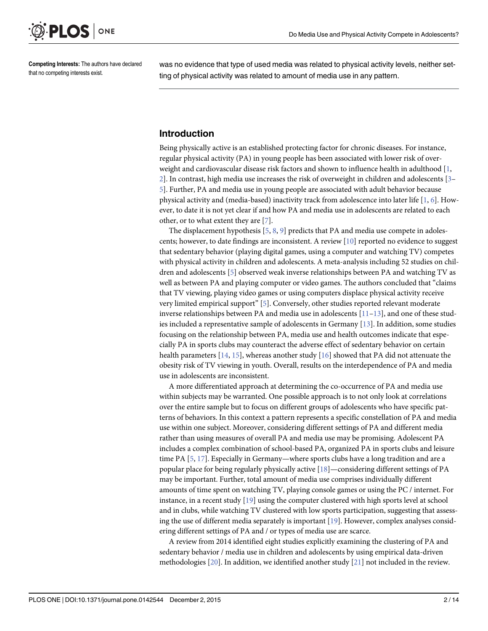<span id="page-1-0"></span>

Competing Interests: The authors have declared that no competing interests exist.

was no evidence that type of used media was related to physical activity levels, neither setting of physical activity was related to amount of media use in any pattern.

#### Introduction

Being physically active is an established protecting factor for chronic diseases. For instance, regular physical activity (PA) in young people has been associated with lower risk of overweight and cardiovascular disease risk factors and shown to influence health in adulthood [[1,](#page-11-0) [2\]](#page-11-0). In contrast, high media use increases the risk of overweight in children and adolescents [[3](#page-11-0)– [5\]](#page-11-0). Further, PA and media use in young people are associated with adult behavior because physical activity and (media-based) inactivity track from adolescence into later life [\[1](#page-11-0), [6](#page-11-0)]. However, to date it is not yet clear if and how PA and media use in adolescents are related to each other, or to what extent they are [\[7\]](#page-11-0).

The displacement hypothesis  $[5, 8, 9]$  $[5, 8, 9]$  $[5, 8, 9]$  $[5, 8, 9]$  $[5, 8, 9]$  $[5, 8, 9]$  $[5, 8, 9]$  predicts that PA and media use compete in adolescents; however, to date findings are inconsistent. A review  $[10]$  reported no evidence to suggest that sedentary behavior (playing digital games, using a computer and watching TV) competes with physical activity in children and adolescents. A meta-analysis including 52 studies on children and adolescents [[5\]](#page-11-0) observed weak inverse relationships between PA and watching TV as well as between PA and playing computer or video games. The authors concluded that "claims that TV viewing, playing video games or using computers displace physical activity receive very limited empirical support" [[5\]](#page-11-0). Conversely, other studies reported relevant moderate inverse relationships between PA and media use in adolescents  $[11-13]$  $[11-13]$  $[11-13]$  $[11-13]$  $[11-13]$ , and one of these studies included a representative sample of adolescents in Germany [\[13\]](#page-12-0). In addition, some studies focusing on the relationship between PA, media use and health outcomes indicate that especially PA in sports clubs may counteract the adverse effect of sedentary behavior on certain health parameters [[14,](#page-12-0) [15\]](#page-12-0), whereas another study [\[16\]](#page-12-0) showed that PA did not attenuate the obesity risk of TV viewing in youth. Overall, results on the interdependence of PA and media use in adolescents are inconsistent.

A more differentiated approach at determining the co-occurrence of PA and media use within subjects may be warranted. One possible approach is to not only look at correlations over the entire sample but to focus on different groups of adolescents who have specific patterns of behaviors. In this context a pattern represents a specific constellation of PA and media use within one subject. Moreover, considering different settings of PA and different media rather than using measures of overall PA and media use may be promising. Adolescent PA includes a complex combination of school-based PA, organized PA in sports clubs and leisure time PA [\[5](#page-11-0), [17](#page-12-0)]. Especially in Germany—where sports clubs have a long tradition and are a popular place for being regularly physically active [\[18](#page-12-0)]—considering different settings of PA may be important. Further, total amount of media use comprises individually different amounts of time spent on watching TV, playing console games or using the PC / internet. For instance, in a recent study  $[19]$  using the computer clustered with high sports level at school and in clubs, while watching TV clustered with low sports participation, suggesting that assessing the use of different media separately is important  $[19]$ . However, complex analyses considering different settings of PA and / or types of media use are scarce.

A review from 2014 identified eight studies explicitly examining the clustering of PA and sedentary behavior / media use in children and adolescents by using empirical data-driven methodologies  $[20]$  $[20]$ . In addition, we identified another study  $[21]$  not included in the review.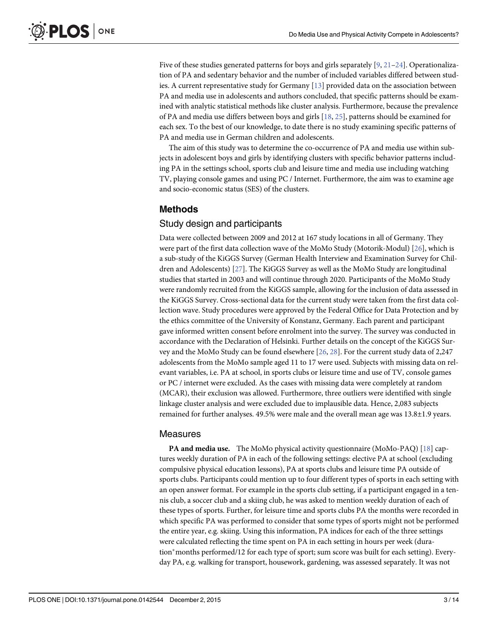<span id="page-2-0"></span>Five of these studies generated patterns for boys and girls separately [\[9](#page-12-0), [21](#page-12-0)–[24\]](#page-12-0). Operationalization of PA and sedentary behavior and the number of included variables differed between studies. A current representative study for Germany [\[13\]](#page-12-0) provided data on the association between PA and media use in adolescents and authors concluded, that specific patterns should be examined with analytic statistical methods like cluster analysis. Furthermore, because the prevalence of PA and media use differs between boys and girls [[18](#page-12-0), [25](#page-12-0)], patterns should be examined for each sex. To the best of our knowledge, to date there is no study examining specific patterns of PA and media use in German children and adolescents.

The aim of this study was to determine the co-occurrence of PA and media use within subjects in adolescent boys and girls by identifying clusters with specific behavior patterns including PA in the settings school, sports club and leisure time and media use including watching TV, playing console games and using PC / Internet. Furthermore, the aim was to examine age and socio-economic status (SES) of the clusters.

# Methods

## Study design and participants

Data were collected between 2009 and 2012 at 167 study locations in all of Germany. They were part of the first data collection wave of the MoMo Study (Motorik-Modul) [\[26\]](#page-12-0), which is a sub-study of the KiGGS Survey (German Health Interview and Examination Survey for Children and Adolescents) [[27](#page-12-0)]. The KiGGS Survey as well as the MoMo Study are longitudinal studies that started in 2003 and will continue through 2020. Participants of the MoMo Study were randomly recruited from the KiGGS sample, allowing for the inclusion of data assessed in the KiGGS Survey. Cross-sectional data for the current study were taken from the first data collection wave. Study procedures were approved by the Federal Office for Data Protection and by the ethics committee of the University of Konstanz, Germany. Each parent and participant gave informed written consent before enrolment into the survey. The survey was conducted in accordance with the Declaration of Helsinki. Further details on the concept of the KiGGS Survey and the MoMo Study can be found elsewhere [\[26,](#page-12-0) [28\]](#page-13-0). For the current study data of 2,247 adolescents from the MoMo sample aged 11 to 17 were used. Subjects with missing data on relevant variables, i.e. PA at school, in sports clubs or leisure time and use of TV, console games or PC / internet were excluded. As the cases with missing data were completely at random (MCAR), their exclusion was allowed. Furthermore, three outliers were identified with single linkage cluster analysis and were excluded due to implausible data. Hence, 2,083 subjects remained for further analyses. 49.5% were male and the overall mean age was 13.8±1.9 years.

#### Measures

PA and media use. The MoMo physical activity questionnaire (MoMo-PAQ) [[18](#page-12-0)] captures weekly duration of PA in each of the following settings: elective PA at school (excluding compulsive physical education lessons), PA at sports clubs and leisure time PA outside of sports clubs. Participants could mention up to four different types of sports in each setting with an open answer format. For example in the sports club setting, if a participant engaged in a tennis club, a soccer club and a skiing club, he was asked to mention weekly duration of each of these types of sports. Further, for leisure time and sports clubs PA the months were recorded in which specific PA was performed to consider that some types of sports might not be performed the entire year, e.g. skiing. Using this information, PA indices for each of the three settings were calculated reflecting the time spent on PA in each setting in hours per week (duration\*months performed/12 for each type of sport; sum score was built for each setting). Everyday PA, e.g. walking for transport, housework, gardening, was assessed separately. It was not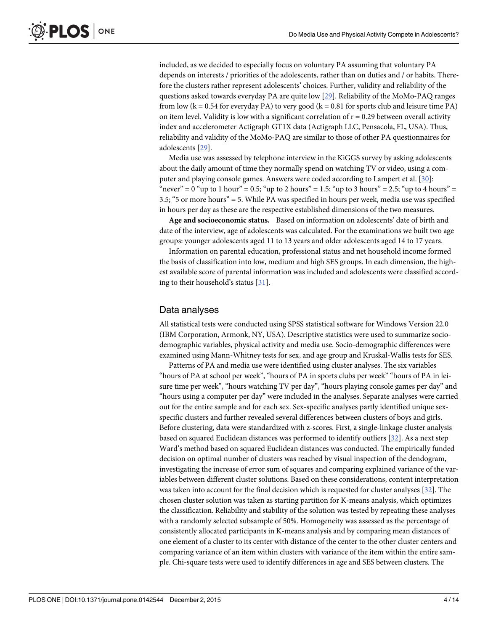<span id="page-3-0"></span>included, as we decided to especially focus on voluntary PA assuming that voluntary PA depends on interests / priorities of the adolescents, rather than on duties and / or habits. Therefore the clusters rather represent adolescents' choices. Further, validity and reliability of the questions asked towards everyday PA are quite low [\[29\]](#page-13-0). Reliability of the MoMo-PAQ ranges from low ( $k = 0.54$  for everyday PA) to very good ( $k = 0.81$  for sports club and leisure time PA) on item level. Validity is low with a significant correlation of  $r = 0.29$  between overall activity index and accelerometer Actigraph GT1X data (Actigraph LLC, Pensacola, FL, USA). Thus, reliability and validity of the MoMo-PAQ are similar to those of other PA questionnaires for adolescents [\[29\]](#page-13-0).

Media use was assessed by telephone interview in the KiGGS survey by asking adolescents about the daily amount of time they normally spend on watching TV or video, using a computer and playing console games. Answers were coded according to Lampert et al. [[30](#page-13-0)]: "never" = 0 "up to 1 hour" = 0.5; "up to 2 hours" = 1.5; "up to 3 hours" = 2.5; "up to 4 hours" = 3.5; "5 or more hours" = 5. While PA was specified in hours per week, media use was specified in hours per day as these are the respective established dimensions of the two measures.

Age and socioeconomic status. Based on information on adolescents' date of birth and date of the interview, age of adolescents was calculated. For the examinations we built two age groups: younger adolescents aged 11 to 13 years and older adolescents aged 14 to 17 years.

Information on parental education, professional status and net household income formed the basis of classification into low, medium and high SES groups. In each dimension, the highest available score of parental information was included and adolescents were classified according to their household's status [\[31\]](#page-13-0).

#### Data analyses

All statistical tests were conducted using SPSS statistical software for Windows Version 22.0 (IBM Corporation, Armonk, NY, USA). Descriptive statistics were used to summarize sociodemographic variables, physical activity and media use. Socio-demographic differences were examined using Mann-Whitney tests for sex, and age group and Kruskal-Wallis tests for SES.

Patterns of PA and media use were identified using cluster analyses. The six variables "hours of PA at school per week", "hours of PA in sports clubs per week" "hours of PA in leisure time per week", "hours watching TV per day", "hours playing console games per day" and "hours using a computer per day" were included in the analyses. Separate analyses were carried out for the entire sample and for each sex. Sex-specific analyses partly identified unique sexspecific clusters and further revealed several differences between clusters of boys and girls. Before clustering, data were standardized with z-scores. First, a single-linkage cluster analysis based on squared Euclidean distances was performed to identify outliers [[32](#page-13-0)]. As a next step Ward's method based on squared Euclidean distances was conducted. The empirically funded decision on optimal number of clusters was reached by visual inspection of the dendogram, investigating the increase of error sum of squares and comparing explained variance of the variables between different cluster solutions. Based on these considerations, content interpretation was taken into account for the final decision which is requested for cluster analyses [[32](#page-13-0)]. The chosen cluster solution was taken as starting partition for K-means analysis, which optimizes the classification. Reliability and stability of the solution was tested by repeating these analyses with a randomly selected subsample of 50%. Homogeneity was assessed as the percentage of consistently allocated participants in K-means analysis and by comparing mean distances of one element of a cluster to its center with distance of the center to the other cluster centers and comparing variance of an item within clusters with variance of the item within the entire sample. Chi-square tests were used to identify differences in age and SES between clusters. The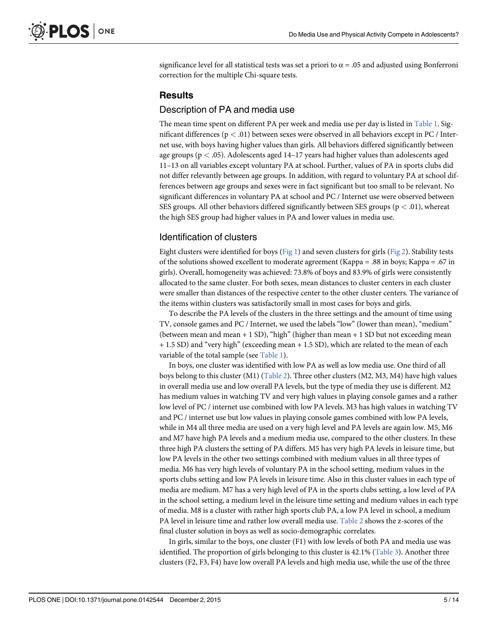<span id="page-4-0"></span>significance level for all statistical tests was set a priori to  $\alpha$  = .05 and adjusted using Bonferroni correction for the multiple Chi-square tests.

#### **Results**

#### Description of PA and media use

The mean time spent on different PA per week and media use per day is listed in [Table 1](#page-5-0). Significant differences ( $p < .01$ ) between sexes were observed in all behaviors except in PC / Internet use, with boys having higher values than girls. All behaviors differed significantly between age groups ( $p < .05$ ). Adolescents aged 14–17 years had higher values than adolescents aged 11–13 on all variables except voluntary PA at school. Further, values of PA in sports clubs did not differ relevantly between age groups. In addition, with regard to voluntary PA at school differences between age groups and sexes were in fact significant but too small to be relevant. No significant differences in voluntary PA at school and PC / Internet use were observed between SES groups. All other behaviors differed significantly between SES groups ( $p < .01$ ), whereat the high SES group had higher values in PA and lower values in media use.

#### Identification of clusters

Eight clusters were identified for boys ( $Fig 1$ ) and seven clusters for girls ( $Fig 2$ ). Stability tests of the solutions showed excellent to moderate agreement (Kappa = .88 in boys; Kappa = .67 in girls). Overall, homogeneity was achieved: 73.8% of boys and 83.9% of girls were consistently allocated to the same cluster. For both sexes, mean distances to cluster centers in each cluster were smaller than distances of the respective center to the other cluster centers. The variance of the items within clusters was satisfactorily small in most cases for boys and girls.

To describe the PA levels of the clusters in the three settings and the amount of time using TV, console games and PC / Internet, we used the labels "low" (lower than mean), "medium" (between mean and mean  $+ 1$  SD), "high" (higher than mean  $+ 1$  SD but not exceeding mean + 1.5 SD) and "very high" (exceeding mean + 1.5 SD), which are related to the mean of each variable of the total sample (see [Table 1\)](#page-5-0).

In boys, one cluster was identified with low PA as well as low media use. One third of all boys belong to this cluster (M1) [\(Table 2](#page-8-0)). Three other clusters (M2, M3, M4) have high values in overall media use and low overall PA levels, but the type of media they use is different. M2 has medium values in watching TV and very high values in playing console games and a rather low level of PC / internet use combined with low PA levels. M3 has high values in watching TV and PC / internet use but low values in playing console games combined with low PA levels, while in M4 all three media are used on a very high level and PA levels are again low. M5, M6 and M7 have high PA levels and a medium media use, compared to the other clusters. In these three high PA clusters the setting of PA differs. M5 has very high PA levels in leisure time, but low PA levels in the other two settings combined with medium values in all three types of media. M6 has very high levels of voluntary PA in the school setting, medium values in the sports clubs setting and low PA levels in leisure time. Also in this cluster values in each type of media are medium. M7 has a very high level of PA in the sports clubs setting, a low level of PA in the school setting, a medium level in the leisure time setting and medium values in each type of media. M8 is a cluster with rather high sports club PA, a low PA level in school, a medium PA level in leisure time and rather low overall media use. [Table 2](#page-8-0) shows the z-scores of the final cluster solution in boys as well as socio-demographic correlates.

In girls, similar to the boys, one cluster (F1) with low levels of both PA and media use was identified. The proportion of girls belonging to this cluster is  $42.1\%$  ([Table 3\)](#page-9-0). Another three clusters (F2, F3, F4) have low overall PA levels and high media use, while the use of the three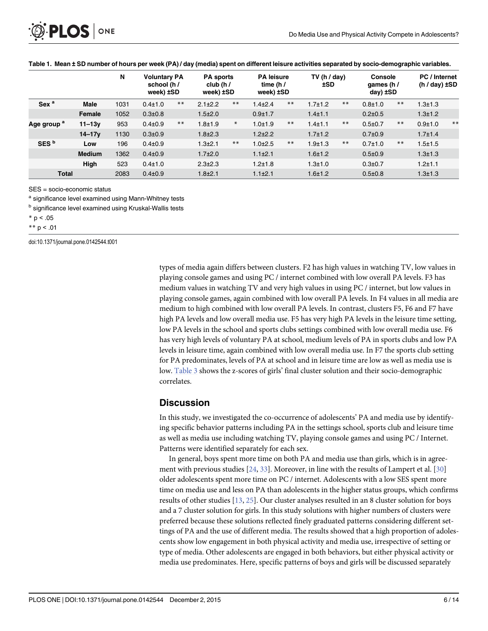<span id="page-5-0"></span>

|                        |               | N    | <b>Voluntary PA</b><br>school (h /<br>week) ±SD |       | <b>PA</b> sports<br>club (h $/$<br>week) ±SD |       | <b>PA</b> leisure<br>time (h $/$<br>week) ±SD |       | TV ( $h$ / day)<br><b>±SD</b> |       | Console<br>games (h /<br>$day)$ ±SD |       | <b>PC</b> / Internet<br>(h / day) $±SD$ |       |
|------------------------|---------------|------|-------------------------------------------------|-------|----------------------------------------------|-------|-----------------------------------------------|-------|-------------------------------|-------|-------------------------------------|-------|-----------------------------------------|-------|
| Sex <sup>a</sup>       | <b>Male</b>   | 1031 | $0.4 \pm 1.0$                                   | $***$ | $2.1 \pm 2.2$                                | $***$ | $1.4 \pm 2.4$                                 | $***$ | $1.7 \pm 1.2$                 | $***$ | $0.8 + 1.0$                         | $***$ | $1.3 \pm 1.3$                           |       |
|                        | <b>Female</b> | 1052 | $0.3 \pm 0.8$                                   |       | $1.5 \pm 2.0$                                |       | $0.9 + 1.7$                                   |       | $1.4 + 1.1$                   |       | $0.2 \pm 0.5$                       |       | $1.3 \pm 1.2$                           |       |
| Age group <sup>a</sup> | $11 - 13v$    | 953  | $0.4 \pm 0.9$                                   | $***$ | $1.8 + 1.9$                                  | ⋇     | $1.0 + 1.9$                                   | $***$ | $1.4 + 1.1$                   | $***$ | $0.5 \pm 0.7$                       | $***$ | $0.9 + 1.0$                             | $***$ |
|                        | $14 - 17y$    | 1130 | $0.3 \pm 0.9$                                   |       | $1.8 \pm 2.3$                                |       | $1.2 \pm 2.2$                                 |       | $1.7 \pm 1.2$                 |       | $0.7 \pm 0.9$                       |       | $1.7 \pm 1.4$                           |       |
| SES <sup>b</sup>       | Low           | 196  | $0.4 \pm 0.9$                                   |       | $1.3 + 2.1$                                  | $***$ | $1.0 + 2.5$                                   | $***$ | $1.9 + 1.3$                   | $***$ | $0.7{\pm}1.0$                       | $***$ | $1.5 + 1.5$                             |       |
|                        | <b>Medium</b> | 1362 | $0.4 \pm 0.9$                                   |       | $1.7 + 2.0$                                  |       | $1.1 \pm 2.1$                                 |       | $1.6 \pm 1.2$                 |       | $0.5 \pm 0.9$                       |       | $1.3 \pm 1.3$                           |       |
|                        | High          | 523  | $0.4 \pm 1.0$                                   |       | $2.3 \pm 2.3$                                |       | $1.2 + 1.8$                                   |       | $1.3 + 1.0$                   |       | $0.3 \pm 0.7$                       |       | $1.2 + 1.1$                             |       |
| <b>Total</b>           |               | 2083 | $0.4 \pm 0.9$                                   |       | $1.8 + 2.1$                                  |       | $1.1 \pm 2.1$                                 |       | $1.6 \pm 1.2$                 |       | $0.5 \pm 0.8$                       |       | $1.3 \pm 1.3$                           |       |

#### [Table 1.](#page-4-0) Mean ± SD number of hours per week (PA) / day (media) spent on different leisure activities separated by socio-demographic variables.

SES = socio-economic status

a significance level examined using Mann-Whitney tests

b significance level examined using Kruskal-Wallis tests

 $* p < .05$ 

 $** p < .01$ 

doi:10.1371/journal.pone.0142544.t001

types of media again differs between clusters. F2 has high values in watching TV, low values in playing console games and using PC / internet combined with low overall PA levels. F3 has medium values in watching TV and very high values in using PC / internet, but low values in playing console games, again combined with low overall PA levels. In F4 values in all media are medium to high combined with low overall PA levels. In contrast, clusters F5, F6 and F7 have high PA levels and low overall media use. F5 has very high PA levels in the leisure time setting, low PA levels in the school and sports clubs settings combined with low overall media use. F6 has very high levels of voluntary PA at school, medium levels of PA in sports clubs and low PA levels in leisure time, again combined with low overall media use. In F7 the sports club setting for PA predominates, levels of PA at school and in leisure time are low as well as media use is low. [Table 3](#page-9-0) shows the z-scores of girls' final cluster solution and their socio-demographic correlates.

#### **Discussion**

In this study, we investigated the co-occurrence of adolescents' PA and media use by identifying specific behavior patterns including PA in the settings school, sports club and leisure time as well as media use including watching TV, playing console games and using PC / Internet. Patterns were identified separately for each sex.

In general, boys spent more time on both PA and media use than girls, which is in agreement with previous studies  $[24, 33]$  $[24, 33]$  $[24, 33]$ . Moreover, in line with the results of Lampert et al.  $[30]$ older adolescents spent more time on PC / internet. Adolescents with a low SES spent more time on media use and less on PA than adolescents in the higher status groups, which confirms results of other studies [[13](#page-12-0), [25](#page-12-0)]. Our cluster analyses resulted in an 8 cluster solution for boys and a 7 cluster solution for girls. In this study solutions with higher numbers of clusters were preferred because these solutions reflected finely graduated patterns considering different settings of PA and the use of different media. The results showed that a high proportion of adolescents show low engagement in both physical activity and media use, irrespective of setting or type of media. Other adolescents are engaged in both behaviors, but either physical activity or media use predominates. Here, specific patterns of boys and girls will be discussed separately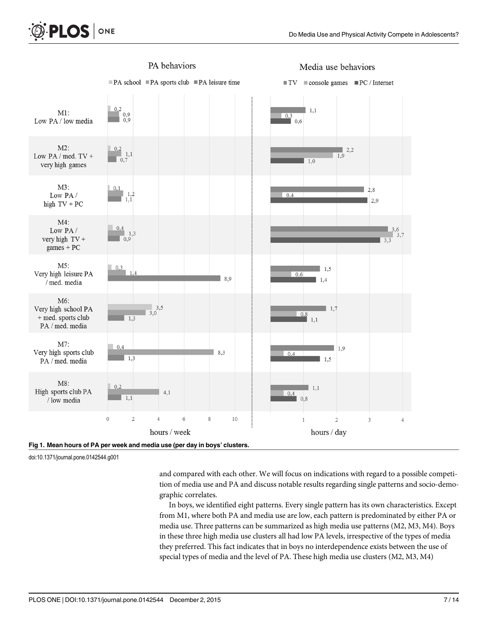

#### PA behaviors



doi:10.1371/journal.pone.0142544.g001

<span id="page-6-0"></span>PLOS ONE

and compared with each other. We will focus on indications with regard to a possible competition of media use and PA and discuss notable results regarding single patterns and socio-demographic correlates.

In boys, we identified eight patterns. Every single pattern has its own characteristics. Except from M1, where both PA and media use are low, each pattern is predominated by either PA or media use. Three patterns can be summarized as high media use patterns (M2, M3, M4). Boys in these three high media use clusters all had low PA levels, irrespective of the types of media they preferred. This fact indicates that in boys no interdependence exists between the use of special types of media and the level of PA. These high media use clusters (M2, M3, M4)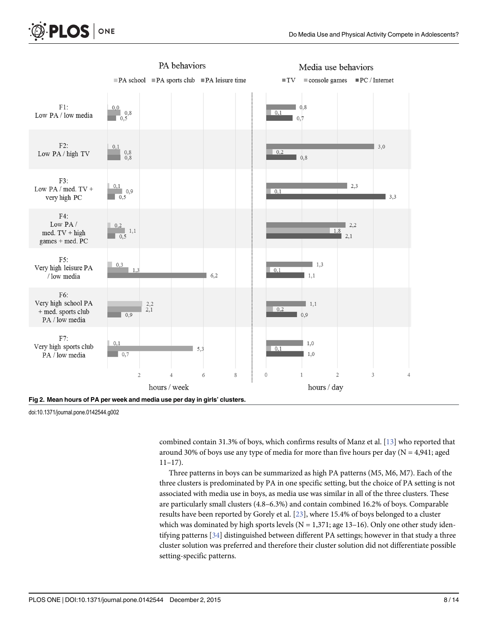<span id="page-7-0"></span>

#### [Fig 2. M](#page-4-0)ean hours of PA per week and media use per day in girls' clusters.

doi:10.1371/journal.pone.0142544.g002

combined contain 31.3% of boys, which confirms results of Manz et al. [[13](#page-12-0)] who reported that around 30% of boys use any type of media for more than five hours per day  $(N = 4,941; q$  $11-17$ ).

Three patterns in boys can be summarized as high PA patterns (M5, M6, M7). Each of the three clusters is predominated by PA in one specific setting, but the choice of PA setting is not associated with media use in boys, as media use was similar in all of the three clusters. These are particularly small clusters (4.8–6.3%) and contain combined 16.2% of boys. Comparable results have been reported by Gorely et al. [\[23\]](#page-12-0), where 15.4% of boys belonged to a cluster which was dominated by high sports levels ( $N = 1,371$ ; age 13–16). Only one other study identifying patterns [\[34\]](#page-13-0) distinguished between different PA settings; however in that study a three cluster solution was preferred and therefore their cluster solution did not differentiate possible setting-specific patterns.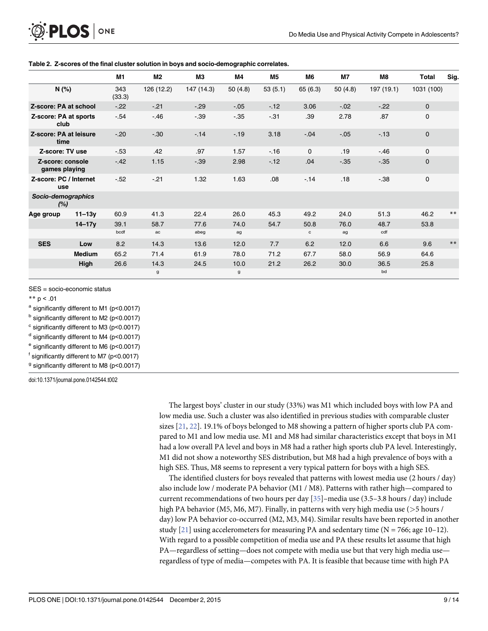|                                   |               | M1            | M <sub>2</sub> | MЗ         | M4      | M5      | M6          | <b>M7</b> | M8         | <b>Total</b> | Sig.  |
|-----------------------------------|---------------|---------------|----------------|------------|---------|---------|-------------|-----------|------------|--------------|-------|
| N (%)                             |               | 343<br>(33.3) | 126 (12.2)     | 147 (14.3) | 50(4.8) | 53(5.1) | 65 (6.3)    | 50(4.8)   | 197 (19.1) | 1031 (100)   |       |
| Z-score: PA at school             |               | $-.22$        | $-.21$         | $-.29$     | $-.05$  | $-12$   | 3.06        | $-.02$    | $-.22$     | $\mathbf{0}$ |       |
| Z-score: PA at sports<br>club     |               | $-.54$        | $-46$          | $-0.39$    | $-35$   | $-31$   | .39         | 2.78      | .87        | $\mathbf 0$  |       |
| Z-score: PA at leisure<br>time    |               | $-.20$        | $-.30$         | $-.14$     | $-19$   | 3.18    | $-.04$      | $-.05$    | $-13$      | $\mathbf{0}$ |       |
| Z-score: TV use                   |               | $-53$         | .42            | .97        | 1.57    | $-16$   | $\mathbf 0$ | .19       | $-46$      | $\mathbf 0$  |       |
| Z-score: console<br>games playing |               | $-42$         | 1.15           | $-.39$     | 2.98    | $-12$   | .04         | $-.35$    | $-0.35$    | $\mathbf 0$  |       |
| Z-score: PC / Internet<br>use     |               | $-.52$        | $-21$          | 1.32       | 1.63    | .08     | $-14$       | .18       | $-.38$     | 0            |       |
| Socio-demographics<br>(%)         |               |               |                |            |         |         |             |           |            |              |       |
| Age group                         | $11 - 13v$    | 60.9          | 41.3           | 22.4       | 26.0    | 45.3    | 49.2        | 24.0      | 51.3       | 46.2         | $***$ |
|                                   | $14 - 17y$    | 39.1          | 58.7           | 77.6       | 74.0    | 54.7    | 50.8        | 76.0      | 48.7       | 53.8         |       |
|                                   |               | bcdf          | ac             | abeg       | ag      |         | c           | ag        | cdf        |              |       |
| <b>SES</b>                        | Low           | 8.2           | 14.3           | 13.6       | 12.0    | 7.7     | 6.2         | 12.0      | 6.6        | 9.6          | $***$ |
|                                   | <b>Medium</b> | 65.2          | 71.4           | 61.9       | 78.0    | 71.2    | 67.7        | 58.0      | 56.9       | 64.6         |       |
|                                   | High          | 26.6          | 14.3           | 24.5       | 10.0    | 21.2    | 26.2        | 30.0      | 36.5       | 25.8         |       |
|                                   |               |               | g              |            | g       |         |             |           | bd         |              |       |

[Table 2.](#page-4-0) Z-scores of the final cluster solution in boys and socio-demographic correlates.

SES = socio-economic status

 $** p < .01$ 

a significantly different to M1 (p<0.0017)

<span id="page-8-0"></span>PLOS ONE

 $<sup>b</sup>$  significantly different to M2 (p<0.0017)</sup>

 $\textdegree$  significantly different to M3 (p<0.0017)

 $d$  significantly different to M4 (p<0.0017)

<sup>e</sup> significantly different to M6 (p<0.0017)

<sup>f</sup> significantly different to M7 (p<0.0017)

 $<sup>9</sup>$  significantly different to M8 (p<0.0017)</sup>

doi:10.1371/journal.pone.0142544.t002

The largest boys' cluster in our study (33%) was M1 which included boys with low PA and low media use. Such a cluster was also identified in previous studies with comparable cluster sizes [[21](#page-12-0), [22](#page-12-0)]. 19.1% of boys belonged to M8 showing a pattern of higher sports club PA compared to M1 and low media use. M1 and M8 had similar characteristics except that boys in M1 had a low overall PA level and boys in M8 had a rather high sports club PA level. Interestingly, M1 did not show a noteworthy SES distribution, but M8 had a high prevalence of boys with a high SES. Thus, M8 seems to represent a very typical pattern for boys with a high SES.

The identified clusters for boys revealed that patterns with lowest media use (2 hours / day) also include low / moderate PA behavior (M1 / M8). Patterns with rather high—compared to current recommendations of two hours per day [\[35\]](#page-13-0)–media use (3.5–3.8 hours / day) include high PA behavior (M5, M6, M7). Finally, in patterns with very high media use (>5 hours / day) low PA behavior co-occurred (M2, M3, M4). Similar results have been reported in another study [\[21\]](#page-12-0) using accelerometers for measuring PA and sedentary time ( $N = 766$ ; age 10–12). With regard to a possible competition of media use and PA these results let assume that high PA—regardless of setting—does not compete with media use but that very high media use regardless of type of media—competes with PA. It is feasible that because time with high PA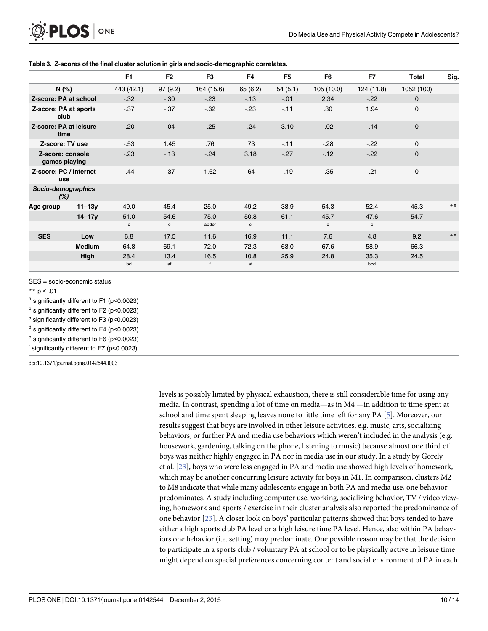<span id="page-9-0"></span>

|                                   |               | F1          | F <sub>2</sub> | F <sub>3</sub> | F4       | F <sub>5</sub> | F <sub>6</sub> | F7          | <b>Total</b> | Sig.  |
|-----------------------------------|---------------|-------------|----------------|----------------|----------|----------------|----------------|-------------|--------------|-------|
| N (%)                             |               | 443 (42.1)  | 97(9.2)        | 164 (15.6)     | 65 (6.2) | 54(5.1)        | 105 (10.0)     | 124(11.8)   | 1052 (100)   |       |
| Z-score: PA at school             |               | $-.32$      | $-.30$         | $-.23$         | $-13$    | $-01$          | 2.34           | $-.22$      | 0            |       |
| Z-score: PA at sports<br>club     |               | $-37$       | $-37$          | $-.32$         | $-.23$   | $-.11$         | .30            | 1.94        | 0            |       |
| Z-score: PA at leisure<br>time    |               | $-.20$      | $-.04$         | $-25$          | $-.24$   | 3.10           | $-.02$         | $-.14$      | $\mathbf 0$  |       |
| Z-score: TV use                   |               | $-53$       | 1.45           | .76            | .73      | $-11$          | $-.28$         | $-22$       | 0            |       |
| Z-score: console<br>games playing |               | $-.23$      | $-13$          | $-.24$         | 3.18     | $-.27$         | $-12$          | $-.22$      | $\mathbf 0$  |       |
| Z-score: PC / Internet<br>use     |               | $-44$       | $-37$          | 1.62           | .64      | $-19$          | $-.35$         | $-.21$      | 0            |       |
| Socio-demographics<br>(%)         |               |             |                |                |          |                |                |             |              |       |
| Age group                         | $11 - 13y$    | 49.0        | 45.4           | 25.0           | 49.2     | 38.9           | 54.3           | 52.4        | 45.3         | $***$ |
|                                   | $14 - 17y$    | 51.0        | 54.6           | 75.0           | 50.8     | 61.1           | 45.7           | 47.6        | 54.7         |       |
|                                   |               | $\mathbf c$ | c              | abdef          | c        |                | c              | $\mathbf c$ |              |       |
| <b>SES</b>                        | Low           | 6.8         | 17.5           | 11.6           | 16.9     | 11.1           | 7.6            | 4.8         | 9.2          | $***$ |
|                                   | <b>Medium</b> | 64.8        | 69.1           | 72.0           | 72.3     | 63.0           | 67.6           | 58.9        | 66.3         |       |
|                                   | High          | 28.4        | 13.4           | 16.5           | 10.8     | 25.9           | 24.8           | 35.3        | 24.5         |       |
|                                   |               | bd          | af             | f              | af       |                |                | bcd         |              |       |

SES = socio-economic status

 $** p < .01$ 

<sup>a</sup> significantly different to F1 (p<0.0023)

b significantly different to F2 (p<0.0023)

<sup>c</sup> significantly different to F3 (p<0.0023)

 $d$  significantly different to F4 (p<0.0023)

<sup>e</sup> significantly different to F6 (p<0.0023)

f significantly different to F7 (p<0.0023)

doi:10.1371/journal.pone.0142544.t003

levels is possibly limited by physical exhaustion, there is still considerable time for using any media. In contrast, spending a lot of time on media—as in M4 —in addition to time spent at school and time spent sleeping leaves none to little time left for any PA [[5\]](#page-11-0). Moreover, our results suggest that boys are involved in other leisure activities, e.g. music, arts, socializing behaviors, or further PA and media use behaviors which weren't included in the analysis (e.g. housework, gardening, talking on the phone, listening to music) because almost one third of boys was neither highly engaged in PA nor in media use in our study. In a study by Gorely et al. [\[23\]](#page-12-0), boys who were less engaged in PA and media use showed high levels of homework, which may be another concurring leisure activity for boys in M1. In comparison, clusters M2 to M8 indicate that while many adolescents engage in both PA and media use, one behavior predominates. A study including computer use, working, socializing behavior, TV / video viewing, homework and sports / exercise in their cluster analysis also reported the predominance of one behavior [\[23\]](#page-12-0). A closer look on boys' particular patterns showed that boys tended to have either a high sports club PA level or a high leisure time PA level. Hence, also within PA behaviors one behavior (i.e. setting) may predominate. One possible reason may be that the decision to participate in a sports club / voluntary PA at school or to be physically active in leisure time might depend on special preferences concerning content and social environment of PA in each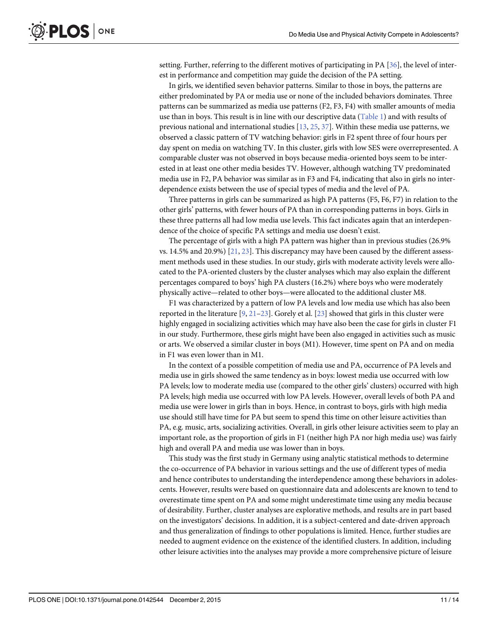<span id="page-10-0"></span>setting. Further, referring to the different motives of participating in PA [[36](#page-13-0)], the level of interest in performance and competition may guide the decision of the PA setting.

In girls, we identified seven behavior patterns. Similar to those in boys, the patterns are either predominated by PA or media use or none of the included behaviors dominates. Three patterns can be summarized as media use patterns (F2, F3, F4) with smaller amounts of media use than in boys. This result is in line with our descriptive data [\(Table 1](#page-5-0)) and with results of previous national and international studies [\[13](#page-12-0), [25](#page-12-0), [37](#page-13-0)]. Within these media use patterns, we observed a classic pattern of TV watching behavior: girls in F2 spent three of four hours per day spent on media on watching TV. In this cluster, girls with low SES were overrepresented. A comparable cluster was not observed in boys because media-oriented boys seem to be interested in at least one other media besides TV. However, although watching TV predominated media use in F2, PA behavior was similar as in F3 and F4, indicating that also in girls no interdependence exists between the use of special types of media and the level of PA.

Three patterns in girls can be summarized as high PA patterns (F5, F6, F7) in relation to the other girls' patterns, with fewer hours of PA than in corresponding patterns in boys. Girls in these three patterns all had low media use levels. This fact indicates again that an interdependence of the choice of specific PA settings and media use doesn't exist.

The percentage of girls with a high PA pattern was higher than in previous studies (26.9% vs. 14.5% and 20.9%) [\[21,](#page-12-0) [23\]](#page-12-0). This discrepancy may have been caused by the different assessment methods used in these studies. In our study, girls with moderate activity levels were allocated to the PA-oriented clusters by the cluster analyses which may also explain the different percentages compared to boys' high PA clusters (16.2%) where boys who were moderately physically active—related to other boys—were allocated to the additional cluster M8.

F1 was characterized by a pattern of low PA levels and low media use which has also been reported in the literature [\[9](#page-12-0), [21](#page-12-0)–[23\]](#page-12-0). Gorely et al. [[23](#page-12-0)] showed that girls in this cluster were highly engaged in socializing activities which may have also been the case for girls in cluster F1 in our study. Furthermore, these girls might have been also engaged in activities such as music or arts. We observed a similar cluster in boys (M1). However, time spent on PA and on media in F1 was even lower than in M1.

In the context of a possible competition of media use and PA, occurrence of PA levels and media use in girls showed the same tendency as in boys: lowest media use occurred with low PA levels; low to moderate media use (compared to the other girls' clusters) occurred with high PA levels; high media use occurred with low PA levels. However, overall levels of both PA and media use were lower in girls than in boys. Hence, in contrast to boys, girls with high media use should still have time for PA but seem to spend this time on other leisure activities than PA, e.g. music, arts, socializing activities. Overall, in girls other leisure activities seem to play an important role, as the proportion of girls in F1 (neither high PA nor high media use) was fairly high and overall PA and media use was lower than in boys.

This study was the first study in Germany using analytic statistical methods to determine the co-occurrence of PA behavior in various settings and the use of different types of media and hence contributes to understanding the interdependence among these behaviors in adolescents. However, results were based on questionnaire data and adolescents are known to tend to overestimate time spent on PA and some might underestimate time using any media because of desirability. Further, cluster analyses are explorative methods, and results are in part based on the investigators' decisions. In addition, it is a subject-centered and date-driven approach and thus generalization of findings to other populations is limited. Hence, further studies are needed to augment evidence on the existence of the identified clusters. In addition, including other leisure activities into the analyses may provide a more comprehensive picture of leisure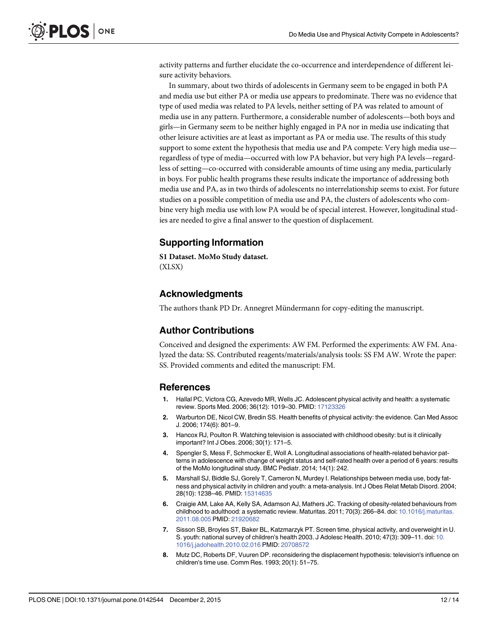<span id="page-11-0"></span>activity patterns and further elucidate the co-occurrence and interdependence of different leisure activity behaviors.

In summary, about two thirds of adolescents in Germany seem to be engaged in both PA and media use but either PA or media use appears to predominate. There was no evidence that type of used media was related to PA levels, neither setting of PA was related to amount of media use in any pattern. Furthermore, a considerable number of adolescents—both boys and girls—in Germany seem to be neither highly engaged in PA nor in media use indicating that other leisure activities are at least as important as PA or media use. The results of this study support to some extent the hypothesis that media use and PA compete: Very high media use regardless of type of media—occurred with low PA behavior, but very high PA levels—regardless of setting—co-occurred with considerable amounts of time using any media, particularly in boys. For public health programs these results indicate the importance of addressing both media use and PA, as in two thirds of adolescents no interrelationship seems to exist. For future studies on a possible competition of media use and PA, the clusters of adolescents who combine very high media use with low PA would be of special interest. However, longitudinal studies are needed to give a final answer to the question of displacement.

# Supporting Information

[S1 Dataset.](http://www.plosone.org/article/fetchSingleRepresentation.action?uri=info:doi/10.1371/journal.pone.0142544.s001) MoMo Study dataset. (XLSX)

## Acknowledgments

The authors thank PD Dr. Annegret Mündermann for copy-editing the manuscript.

## Author Contributions

Conceived and designed the experiments: AW FM. Performed the experiments: AW FM. Analyzed the data: SS. Contributed reagents/materials/analysis tools: SS FM AW. Wrote the paper: SS. Provided comments and edited the manuscript: FM.

#### References

- [1.](#page-1-0) Hallal PC, Victora CG, Azevedo MR, Wells JC. Adolescent physical activity and health: a systematic review. Sports Med. 2006; 36(12): 1019–30. PMID: [17123326](http://www.ncbi.nlm.nih.gov/pubmed/17123326)
- [2.](#page-1-0) Warburton DE, Nicol CW, Bredin SS. Health benefits of physical activity: the evidence. Can Med Assoc J. 2006; 174(6): 801–9.
- [3.](#page-1-0) Hancox RJ, Poulton R. Watching television is associated with childhood obesity: but is it clinically important? Int J Obes. 2006; 30(1): 171–5.
- 4. Spengler S, Mess F, Schmocker E, Woll A. Longitudinal associations of health-related behavior patterns in adolescence with change of weight status and self-rated health over a period of 6 years: results of the MoMo longitudinal study. BMC Pediatr. 2014; 14(1): 242.
- [5.](#page-1-0) Marshall SJ, Biddle SJ, Gorely T, Cameron N, Murdey I. Relationships between media use, body fatness and physical activity in children and youth: a meta-analysis. Int J Obes Relat Metab Disord. 2004; 28(10): 1238–46. PMID: [15314635](http://www.ncbi.nlm.nih.gov/pubmed/15314635)
- [6.](#page-1-0) Craigie AM, Lake AA, Kelly SA, Adamson AJ, Mathers JC. Tracking of obesity-related behaviours from childhood to adulthood: a systematic review. Maturitas. 2011; 70(3): 266–84. doi: [10.1016/j.maturitas.](http://dx.doi.org/10.1016/j.maturitas.2011.08.005) [2011.08.005](http://dx.doi.org/10.1016/j.maturitas.2011.08.005) PMID: [21920682](http://www.ncbi.nlm.nih.gov/pubmed/21920682)
- [7.](#page-1-0) Sisson SB, Broyles ST, Baker BL, Katzmarzyk PT. Screen time, physical activity, and overweight in U. S. youth: national survey of children's health 2003. J Adolesc Health. 2010; 47(3): 309–11. doi: [10.](http://dx.doi.org/10.1016/j.jadohealth.2010.02.016) [1016/j.jadohealth.2010.02.016](http://dx.doi.org/10.1016/j.jadohealth.2010.02.016) PMID: [20708572](http://www.ncbi.nlm.nih.gov/pubmed/20708572)
- [8.](#page-1-0) Mutz DC, Roberts DF, Vuuren DP. reconsidering the displacement hypothesis: television's influence on children's time use. Comm Res. 1993; 20(1): 51–75.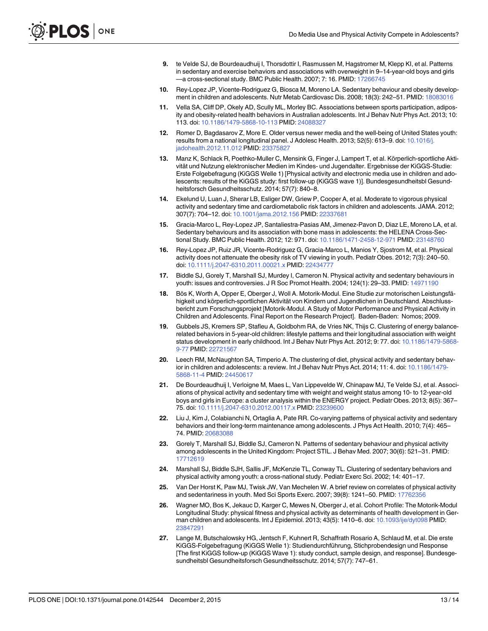- <span id="page-12-0"></span>[9.](#page-1-0) te Velde SJ, de Bourdeaudhuij I, Thorsdottir I, Rasmussen M, Hagstromer M, Klepp KI, et al. Patterns in sedentary and exercise behaviors and associations with overweight in 9–14-year-old boys and girls —a cross-sectional study. BMC Public Health. 2007; 7: 16. PMID: [17266745](http://www.ncbi.nlm.nih.gov/pubmed/17266745)
- [10.](#page-1-0) Rey-Lopez JP, Vicente-Rodriguez G, Biosca M, Moreno LA. Sedentary behaviour and obesity development in children and adolescents. Nutr Metab Cardiovasc Dis. 2008; 18(3): 242–51. PMID: [18083016](http://www.ncbi.nlm.nih.gov/pubmed/18083016)
- [11.](#page-1-0) Vella SA, Cliff DP, Okely AD, Scully ML, Morley BC. Associations between sports participation, adiposity and obesity-related health behaviors in Australian adolescents. Int J Behav Nutr Phys Act. 2013; 10: 113. doi: [10.1186/1479-5868-10-113](http://dx.doi.org/10.1186/1479-5868-10-113) PMID: [24088327](http://www.ncbi.nlm.nih.gov/pubmed/24088327)
- 12. Romer D, Bagdasarov Z, More E. Older versus newer media and the well-being of United States youth: results from a national longitudinal panel. J Adolesc Health. 2013; 52(5): 613–9. doi: [10.1016/j.](http://dx.doi.org/10.1016/j.jadohealth.2012.11.012) [jadohealth.2012.11.012](http://dx.doi.org/10.1016/j.jadohealth.2012.11.012) PMID: [23375827](http://www.ncbi.nlm.nih.gov/pubmed/23375827)
- [13.](#page-1-0) Manz K, Schlack R, Poethko-Muller C, Mensink G, Finger J, Lampert T, et al. Körperlich-sportliche Aktivität und Nutzung elektronischer Medien im Kindes- und Jugendalter. Ergebnisse der KiGGS-Studie: Erste Folgebefragung (KiGGS Welle 1) [Physical activity and electronic media use in children and adolescents: results of the KiGGS study: first follow-up (KiGGS wave 1)]. Bundesgesundheitsbl Gesundheitsforsch Gesundheitsschutz. 2014; 57(7): 840–8.
- [14.](#page-1-0) Ekelund U, Luan J, Sherar LB, Esliger DW, Griew P, Cooper A, et al. Moderate to vigorous physical activity and sedentary time and cardiometabolic risk factors in children and adolescents. JAMA. 2012; 307(7): 704–12. doi: [10.1001/jama.2012.156](http://dx.doi.org/10.1001/jama.2012.156) PMID: [22337681](http://www.ncbi.nlm.nih.gov/pubmed/22337681)
- [15.](#page-1-0) Gracia-Marco L, Rey-Lopez JP, Santaliestra-Pasias AM, Jimenez-Pavon D, Diaz LE, Moreno LA, et al. Sedentary behaviours and its association with bone mass in adolescents: the HELENA Cross-Sectional Study. BMC Public Health. 2012; 12: 971. doi: [10.1186/1471-2458-12-971](http://dx.doi.org/10.1186/1471-2458-12-971) PMID: [23148760](http://www.ncbi.nlm.nih.gov/pubmed/23148760)
- [16.](#page-1-0) Rey-Lopez JP, Ruiz JR, Vicente-Rodriguez G, Gracia-Marco L, Manios Y, Sjostrom M, et al. Physical activity does not attenuate the obesity risk of TV viewing in youth. Pediatr Obes. 2012; 7(3): 240–50. doi: [10.1111/j.2047-6310.2011.00021.x](http://dx.doi.org/10.1111/j.2047-6310.2011.00021.x) PMID: [22434777](http://www.ncbi.nlm.nih.gov/pubmed/22434777)
- [17.](#page-1-0) Biddle SJ, Gorely T, Marshall SJ, Murdey I, Cameron N. Physical activity and sedentary behaviours in youth: issues and controversies. J R Soc Promot Health. 2004; 124(1): 29–33. PMID: [14971190](http://www.ncbi.nlm.nih.gov/pubmed/14971190)
- [18.](#page-1-0) Bös K, Worth A, Opper E, Oberger J, Woll A. Motorik-Modul. Eine Studie zur motorischen Leistungsfähigkeit und körperlich-sportlichen Aktivität von Kindern und Jugendlichen in Deutschland. Abschlussbericht zum Forschungsprojekt [Motorik-Modul. A Study of Motor Performance and Physical Activity in Children and Adolescents. Final Report on the Research Project]. Baden-Baden: Nomos; 2009.
- [19.](#page-1-0) Gubbels JS, Kremers SP, Stafleu A, Goldbohm RA, de Vries NK, Thijs C. Clustering of energy balancerelated behaviors in 5-year-old children: lifestyle patterns and their longitudinal association with weight status development in early childhood. Int J Behav Nutr Phys Act. 2012; 9: 77. doi: [10.1186/1479-5868-](http://dx.doi.org/10.1186/1479-5868-9-77) [9-77](http://dx.doi.org/10.1186/1479-5868-9-77) PMID: [22721567](http://www.ncbi.nlm.nih.gov/pubmed/22721567)
- [20.](#page-1-0) Leech RM, McNaughton SA, Timperio A. The clustering of diet, physical activity and sedentary behav-ior in children and adolescents: a review. Int J Behav Nutr Phys Act. 2014; 11: 4. doi: [10.1186/1479-](http://dx.doi.org/10.1186/1479-5868-11-4) [5868-11-4](http://dx.doi.org/10.1186/1479-5868-11-4) PMID: [24450617](http://www.ncbi.nlm.nih.gov/pubmed/24450617)
- [21.](#page-1-0) De Bourdeaudhuij I, Verloigne M, Maes L, Van Lippevelde W, Chinapaw MJ, Te Velde SJ, et al. Associations of physical activity and sedentary time with weight and weight status among 10- to 12-year-old boys and girls in Europe: a cluster analysis within the ENERGY project. Pediatr Obes. 2013; 8(5): 367– 75. doi: [10.1111/j.2047-6310.2012.00117.x](http://dx.doi.org/10.1111/j.2047-6310.2012.00117.x) PMID: [23239600](http://www.ncbi.nlm.nih.gov/pubmed/23239600)
- [22.](#page-8-0) Liu J, Kim J, Colabianchi N, Ortaglia A, Pate RR. Co-varying patterns of physical activity and sedentary behaviors and their long-term maintenance among adolescents. J Phys Act Health. 2010; 7(4): 465– 74. PMID: [20683088](http://www.ncbi.nlm.nih.gov/pubmed/20683088)
- [23.](#page-7-0) Gorely T, Marshall SJ, Biddle SJ, Cameron N. Patterns of sedentary behaviour and physical activity among adolescents in the United Kingdom: Project STIL. J Behav Med. 2007; 30(6): 521–31. PMID: [17712619](http://www.ncbi.nlm.nih.gov/pubmed/17712619)
- [24.](#page-2-0) Marshall SJ, Biddle SJH, Sallis JF, McKenzie TL, Conway TL. Clustering of sedentary behaviors and physical activity among youth: a cross-national study. Pediatr Exerc Sci. 2002; 14: 401–17.
- [25.](#page-2-0) Van Der Horst K, Paw MJ, Twisk JW, Van Mechelen W. A brief review on correlates of physical activity and sedentariness in youth. Med Sci Sports Exerc. 2007; 39(8): 1241–50. PMID: [17762356](http://www.ncbi.nlm.nih.gov/pubmed/17762356)
- [26.](#page-2-0) Wagner MO, Bos K, Jekauc D, Karger C, Mewes N, Oberger J, et al. Cohort Profile: The Motorik-Modul Longitudinal Study: physical fitness and physical activity as determinants of health development in German children and adolescents. Int J Epidemiol. 2013; 43(5): 1410–6. doi: [10.1093/ije/dyt098](http://dx.doi.org/10.1093/ije/dyt098) PMID: [23847291](http://www.ncbi.nlm.nih.gov/pubmed/23847291)
- [27.](#page-2-0) Lange M, Butschalowsky HG, Jentsch F, Kuhnert R, Schaffrath Rosario A, Schlaud M, et al. Die erste KiGGS-Folgebefragung (KiGGS Welle 1): Studiendurchführung, Stichprobendesign und Response [The first KiGGS follow-up (KiGGS Wave 1): study conduct, sample design, and response]. Bundesgesundheitsbl Gesundheitsforsch Gesundheitsschutz. 2014; 57(7): 747–61.